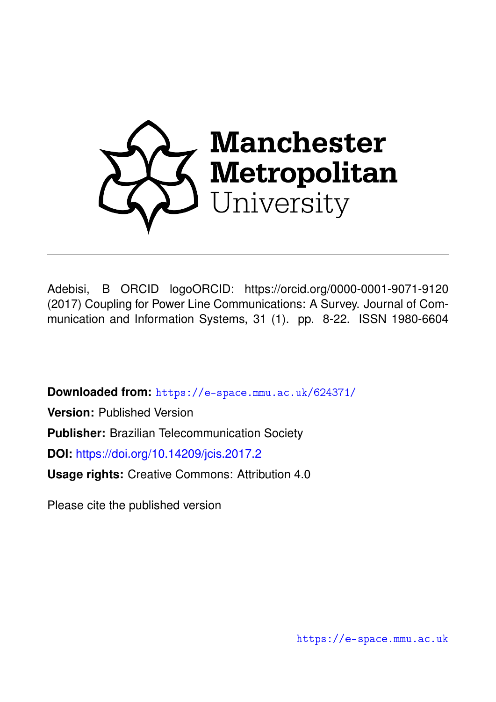

Adebisi, B ORCID logoORCID: https://orcid.org/0000-0001-9071-9120 (2017) Coupling for Power Line Communications: A Survey. Journal of Communication and Information Systems, 31 (1). pp. 8-22. ISSN 1980-6604

**Downloaded from:** <https://e-space.mmu.ac.uk/624371/>

**Version:** Published Version **Publisher:** Brazilian Telecommunication Society **DOI:** <https://doi.org/10.14209/jcis.2017.2>

**Usage rights:** Creative Commons: Attribution 4.0

Please cite the published version

<https://e-space.mmu.ac.uk>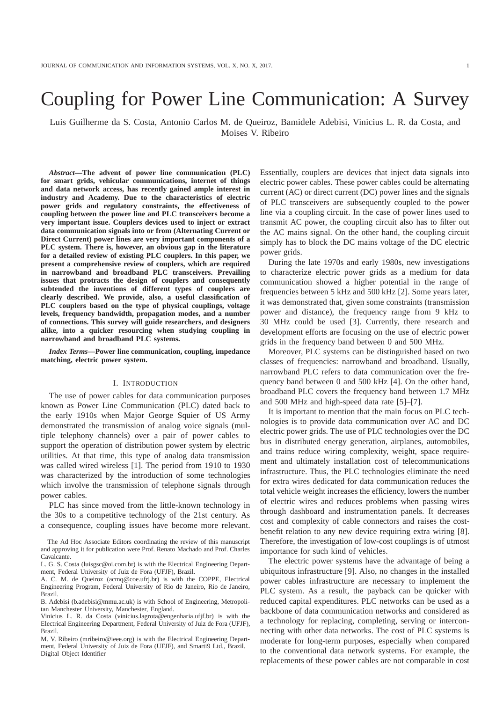# Coupling for Power Line Communication: A Survey

Luis Guilherme da S. Costa, Antonio Carlos M. de Queiroz, Bamidele Adebisi, Vinicius L. R. da Costa, and Moises V. Ribeiro

*Abstract***—The advent of power line communication (PLC) for smart grids, vehicular communications, internet of things and data network access, has recently gained ample interest in industry and Academy. Due to the characteristics of electric power grids and regulatory constraints, the effectiveness of coupling between the power line and PLC transceivers become a very important issue. Couplers devices used to inject or extract data communication signals into or from (Alternating Current or Direct Current) power lines are very important components of a PLC system. There is, however, an obvious gap in the literature for a detailed review of existing PLC couplers. In this paper, we present a comprehensive review of couplers, which are required in narrowband and broadband PLC transceivers. Prevailing issues that protracts the design of couplers and consequently subtended the inventions of different types of couplers are clearly described. We provide, also, a useful classification of PLC couplers based on the type of physical couplings, voltage levels, frequency bandwidth, propagation modes, and a number of connections. This survey will guide researchers, and designers alike, into a quicker resourcing when studying coupling in narrowband and broadband PLC systems.**

*Index Terms***—Power line communication, coupling, impedance matching, electric power system.**

# I. INTRODUCTION

The use of power cables for data communication purposes known as Power Line Communication (PLC) dated back to the early 1910s when Major George Squier of US Army demonstrated the transmission of analog voice signals (multiple telephony channels) over a pair of power cables to support the operation of distribution power system by electric utilities. At that time, this type of analog data transmission was called wired wireless [1]. The period from 1910 to 1930 was characterized by the introduction of some technologies which involve the transmission of telephone signals through power cables.

PLC has since moved from the little-known technology in the 30s to a competitive technology of the 21st century. As a consequence, coupling issues have become more relevant.

The Ad Hoc Associate Editors coordinating the review of this manuscript and approving it for publication were Prof. Renato Machado and Prof. Charles Cavalcante.

A. C. M. de Queiroz (acmq@coe.ufrj.br) is with the COPPE, Electrical Engineering Program, Federal University of Rio de Janeiro, Rio de Janeiro, Brazil.

Vinicius L. R. da Costa (vinicius.lagrota@engenharia.ufjf.br) is with the Electrical Engineering Department, Federal University of Juiz de Fora (UFJF), Brazil.

M. V. Ribeiro (mribeiro@ieee.org) is with the Electrical Engineering Department, Federal University of Juiz de Fora (UFJF), and Smarti9 Ltd., Brazil. Digital Object Identifier

Essentially, couplers are devices that inject data signals into electric power cables. These power cables could be alternating current (AC) or direct current (DC) power lines and the signals of PLC transceivers are subsequently coupled to the power line via a coupling circuit. In the case of power lines used to transmit AC power, the coupling circuit also has to filter out the AC mains signal. On the other hand, the coupling circuit simply has to block the DC mains voltage of the DC electric power grids.

During the late 1970s and early 1980s, new investigations to characterize electric power grids as a medium for data communication showed a higher potential in the range of frequencies between 5 kHz and 500 kHz [2]. Some years later, it was demonstrated that, given some constraints (transmission power and distance), the frequency range from 9 kHz to 30 MHz could be used [3]. Currently, there research and development efforts are focusing on the use of electric power grids in the frequency band between 0 and 500 MHz.

Moreover, PLC systems can be distinguished based on two classes of frequencies: narrowband and broadband. Usually, narrowband PLC refers to data communication over the frequency band between 0 and 500 kHz [4]. On the other hand, broadband PLC covers the frequency band between 1.7 MHz and 500 MHz and high-speed data rate [5]–[7].

It is important to mention that the main focus on PLC technologies is to provide data communication over AC and DC electric power grids. The use of PLC technologies over the DC bus in distributed energy generation, airplanes, automobiles, and trains reduce wiring complexity, weight, space requirement and ultimately installation cost of telecommunications infrastructure. Thus, the PLC technologies eliminate the need for extra wires dedicated for data communication reduces the total vehicle weight increases the efficiency, lowers the number of electric wires and reduces problems when passing wires through dashboard and instrumentation panels. It decreases cost and complexity of cable connectors and raises the costbenefit relation to any new device requiring extra wiring [8]. Therefore, the investigation of low-cost couplings is of utmost importance for such kind of vehicles.

The electric power systems have the advantage of being a ubiquitous infrastructure [9]. Also, no changes in the installed power cables infrastructure are necessary to implement the PLC system. As a result, the payback can be quicker with reduced capital expenditures. PLC networks can be used as a backbone of data communication networks and considered as a technology for replacing, completing, serving or interconnecting with other data networks. The cost of PLC systems is moderate for long-term purposes, especially when compared to the conventional data network systems. For example, the replacements of these power cables are not comparable in cost

L. G. S. Costa (luisgsc@oi.com.br) is with the Electrical Engineering Department, Federal University of Juiz de Fora (UFJF), Brazil.

B. Adebisi (b.adebisi@mmu.ac.uk) is with School of Engineering, Metropolitan Manchester University, Manchester, England.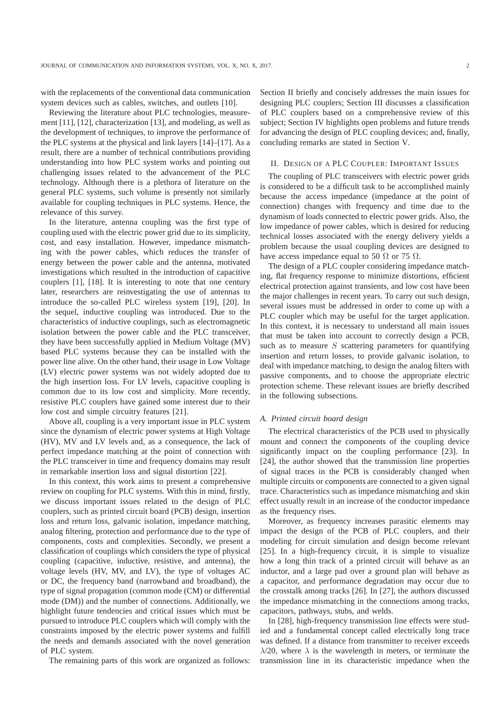with the replacements of the conventional data communication system devices such as cables, switches, and outlets [10].

Reviewing the literature about PLC technologies, measurement [11], [12], characterization [13], and modeling, as well as the development of techniques, to improve the performance of the PLC systems at the physical and link layers [14]–[17]. As a result, there are a number of technical contributions providing understanding into how PLC system works and pointing out challenging issues related to the advancement of the PLC technology. Although there is a plethora of literature on the general PLC systems, such volume is presently not similarly available for coupling techniques in PLC systems. Hence, the relevance of this survey.

In the literature, antenna coupling was the first type of coupling used with the electric power grid due to its simplicity, cost, and easy installation. However, impedance mismatching with the power cables, which reduces the transfer of energy between the power cable and the antenna, motivated investigations which resulted in the introduction of capacitive couplers [1], [18]. It is interesting to note that one century later, researchers are reinvestigating the use of antennas to introduce the so-called PLC wireless system [19], [20]. In the sequel, inductive coupling was introduced. Due to the characteristics of inductive couplings, such as electromagnetic isolation between the power cable and the PLC transceiver, they have been successfully applied in Medium Voltage (MV) based PLC systems because they can be installed with the power line alive. On the other hand, their usage in Low Voltage (LV) electric power systems was not widely adopted due to the high insertion loss. For LV levels, capacitive coupling is common due to its low cost and simplicity. More recently, resistive PLC couplers have gained some interest due to their low cost and simple circuitry features [21].

Above all, coupling is a very important issue in PLC system since the dynamism of electric power systems at High Voltage (HV), MV and LV levels and, as a consequence, the lack of perfect impedance matching at the point of connection with the PLC transceiver in time and frequency domains may result in remarkable insertion loss and signal distortion [22].

In this context, this work aims to present a comprehensive review on coupling for PLC systems. With this in mind, firstly, we discuss important issues related to the design of PLC couplers, such as printed circuit board (PCB) design, insertion loss and return loss, galvanic isolation, impedance matching, analog filtering, protection and performance due to the type of components, costs and complexities. Secondly, we present a classification of couplings which considers the type of physical coupling (capacitive, inductive, resistive, and antenna), the voltage levels (HV, MV, and LV), the type of voltages AC or DC, the frequency band (narrowband and broadband), the type of signal propagation (common mode (CM) or differential mode (DM)) and the number of connections. Additionally, we highlight future tendencies and critical issues which must be pursued to introduce PLC couplers which will comply with the constraints imposed by the electric power systems and fulfill the needs and demands associated with the novel generation of PLC system.

The remaining parts of this work are organized as follows:

Section II briefly and concisely addresses the main issues for designing PLC couplers; Section III discusses a classification of PLC couplers based on a comprehensive review of this subject; Section IV highlights open problems and future trends for advancing the design of PLC coupling devices; and, finally, concluding remarks are stated in Section V.

# II. DESIGN OF A PLC COUPLER: IMPORTANT ISSUES

The coupling of PLC transceivers with electric power grids is considered to be a difficult task to be accomplished mainly because the access impedance (impedance at the point of connection) changes with frequency and time due to the dynamism of loads connected to electric power grids. Also, the low impedance of power cables, which is desired for reducing technical losses associated with the energy delivery yields a problem because the usual coupling devices are designed to have access impedance equal to 50  $\Omega$  or 75  $\Omega$ .

The design of a PLC coupler considering impedance matching, flat frequency response to minimize distortions, efficient electrical protection against transients, and low cost have been the major challenges in recent years. To carry out such design, several issues must be addressed in order to come up with a PLC coupler which may be useful for the target application. In this context, it is necessary to understand all main issues that must be taken into account to correctly design a PCB, such as to measure  $S$  scattering parameters for quantifying insertion and return losses, to provide galvanic isolation, to deal with impedance matching, to design the analog filters with passive components, and to choose the appropriate electric protection scheme. These relevant issues are briefly described in the following subsections.

#### *A. Printed circuit board design*

The electrical characteristics of the PCB used to physically mount and connect the components of the coupling device significantly impact on the coupling performance [23]. In [24], the author showed that the transmission line properties of signal traces in the PCB is considerably changed when multiple circuits or components are connected to a given signal trace. Characteristics such as impedance mismatching and skin effect usually result in an increase of the conductor impedance as the frequency rises.

Moreover, as frequency increases parasitic elements may impact the design of the PCB of PLC couplers, and their modeling for circuit simulation and design become relevant [25]. In a high-frequency circuit, it is simple to visualize how a long thin track of a printed circuit will behave as an inductor, and a large pad over a ground plan will behave as a capacitor, and performance degradation may occur due to the crosstalk among tracks [26]. In [27], the authors discussed the impedance mismatching in the connections among tracks, capacitors, pathways, stubs, and welds.

In [28], high-frequency transmission line effects were studied and a fundamental concept called electrically long trace was defined. If a distance from transmitter to receiver exceeds  $\lambda$ /20, where  $\lambda$  is the wavelength in meters, or terminate the transmission line in its characteristic impedance when the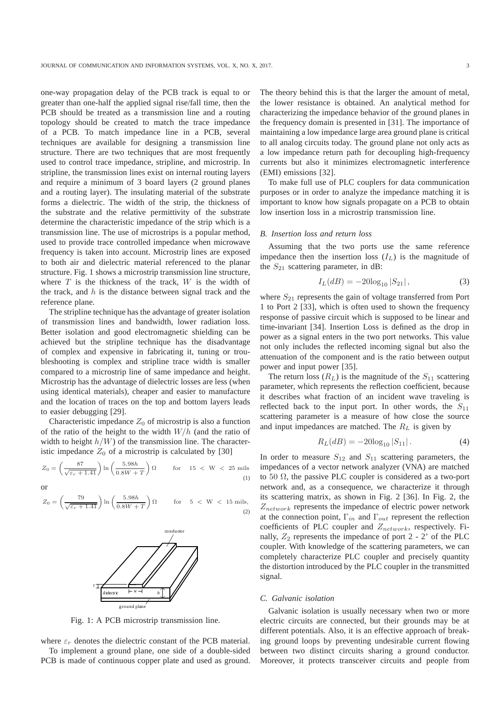one-way propagation delay of the PCB track is equal to or greater than one-half the applied signal rise/fall time, then the PCB should be treated as a transmission line and a routing topology should be created to match the trace impedance of a PCB. To match impedance line in a PCB, several techniques are available for designing a transmission line structure. There are two techniques that are most frequently used to control trace impedance, stripline, and microstrip. In stripline, the transmission lines exist on internal routing layers and require a minimum of 3 board layers (2 ground planes and a routing layer). The insulating material of the substrate forms a dielectric. The width of the strip, the thickness of the substrate and the relative permittivity of the substrate determine the characteristic impedance of the strip which is a transmission line. The use of microstrips is a popular method, used to provide trace controlled impedance when microwave frequency is taken into account. Microstrip lines are exposed to both air and dielectric material referenced to the planar structure. Fig. 1 shows a microstrip transmission line structure, where  $T$  is the thickness of the track,  $W$  is the width of the track, and  $h$  is the distance between signal track and the reference plane.

The stripline technique has the advantage of greater isolation of transmission lines and bandwidth, lower radiation loss. Better isolation and good electromagnetic shielding can be achieved but the stripline technique has the disadvantage of complex and expensive in fabricating it, tuning or troubleshooting is complex and stripline trace width is smaller compared to a microstrip line of same impedance and height. Microstrip has the advantage of dielectric losses are less (when using identical materials), cheaper and easier to manufacture and the location of traces on the top and bottom layers leads to easier debugging [29].

Characteristic impedance  $Z_0$  of microstrip is also a function of the ratio of the height to the width  $W/h$  (and the ratio of width to height  $h/W$ ) of the transmission line. The characteristic impedance  $Z_0$  of a microstrip is calculated by [30]

$$
Z_0 = \left(\frac{87}{\sqrt{\varepsilon_r + 1.41}}\right) \ln\left(\frac{5.98h}{0.8W + T}\right) \Omega \qquad \text{for} \quad 15 < W < 25 \text{ mils}
$$
\n(1)

or

$$
Z_0 = \left(\frac{79}{\sqrt{\varepsilon_r + 1.41}}\right) \ln\left(\frac{5.98h}{0.8W + T}\right) \Omega \quad \text{for} \quad 5 < W < 15 \text{ mils},\tag{2}
$$



Fig. 1: A PCB microstrip transmission line.

where  $\varepsilon_r$  denotes the dielectric constant of the PCB material. To implement a ground plane, one side of a double-sided PCB is made of continuous copper plate and used as ground.

The theory behind this is that the larger the amount of metal, the lower resistance is obtained. An analytical method for characterizing the impedance behavior of the ground planes in the frequency domain is presented in [31]. The importance of maintaining a low impedance large area ground plane is critical to all analog circuits today. The ground plane not only acts as a low impedance return path for decoupling high-frequency currents but also it minimizes electromagnetic interference (EMI) emissions [32].

To make full use of PLC couplers for data communication purposes or in order to analyze the impedance matching it is important to know how signals propagate on a PCB to obtain low insertion loss in a microstrip transmission line.

## *B. Insertion loss and return loss*

Assuming that the two ports use the same reference impedance then the insertion loss  $(I_L)$  is the magnitude of the  $S_{21}$  scattering parameter, in dB:

$$
I_L(dB) = -20\log_{10}|S_{21}|,\t\t(3)
$$

where  $S_{21}$  represents the gain of voltage transferred from Port 1 to Port 2 [33], which is often used to shown the frequency response of passive circuit which is supposed to be linear and time-invariant [34]. Insertion Loss is defined as the drop in power as a signal enters in the two port networks. This value not only includes the reflected incoming signal but also the attenuation of the component and is the ratio between output power and input power [35].

The return loss  $(R_L)$  is the magnitude of the  $S_{11}$  scattering parameter, which represents the reflection coefficient, because it describes what fraction of an incident wave traveling is reflected back to the input port. In other words, the  $S_{11}$ scattering parameter is a measure of how close the source and input impedances are matched. The  $R_L$  is given by

$$
R_L(dB) = -20\log_{10}|S_{11}|.
$$
 (4)

In order to measure  $S_{12}$  and  $S_{11}$  scattering parameters, the impedances of a vector network analyzer (VNA) are matched to 50  $\Omega$ , the passive PLC coupler is considered as a two-port network and, as a consequence, we characterize it through its scattering matrix, as shown in Fig. 2 [36]. In Fig. 2, the  $Z_{network}$  represents the impedance of electric power network at the connection point,  $\Gamma_{in}$  and  $\Gamma_{out}$  represent the reflection coefficients of PLC coupler and  $Z_{network}$ , respectively. Finally,  $Z_2$  represents the impedance of port 2 - 2' of the PLC coupler. With knowledge of the scattering parameters, we can completely characterize PLC coupler and precisely quantity the distortion introduced by the PLC coupler in the transmitted signal.

## *C. Galvanic isolation*

Galvanic isolation is usually necessary when two or more electric circuits are connected, but their grounds may be at different potentials. Also, it is an effective approach of breaking ground loops by preventing undesirable current flowing between two distinct circuits sharing a ground conductor. Moreover, it protects transceiver circuits and people from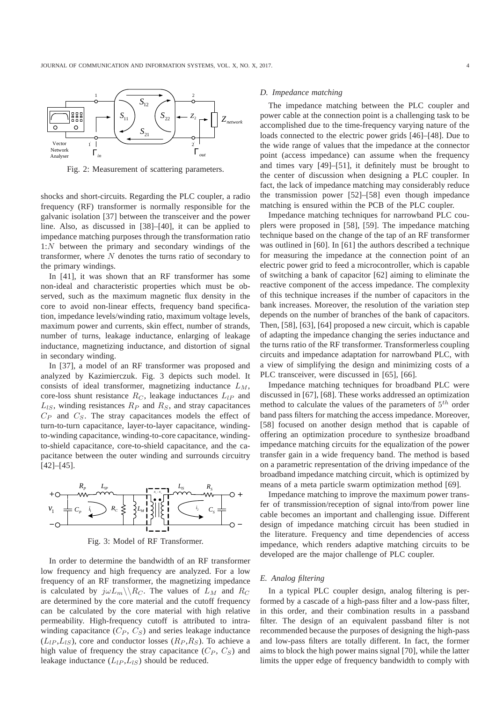

Fig. 2: Measurement of scattering parameters.

shocks and short-circuits. Regarding the PLC coupler, a radio frequency (RF) transformer is normally responsible for the galvanic isolation [37] between the transceiver and the power line. Also, as discussed in [38]–[40], it can be applied to impedance matching purposes through the transformation ratio 1:N between the primary and secondary windings of the transformer, where  $N$  denotes the turns ratio of secondary to the primary windings.

In [41], it was shown that an RF transformer has some non-ideal and characteristic properties which must be observed, such as the maximum magnetic flux density in the core to avoid non-linear effects, frequency band specification, impedance levels/winding ratio, maximum voltage levels, maximum power and currents, skin effect, number of strands, number of turns, leakage inductance, enlarging of leakage inductance, magnetizing inductance, and distortion of signal in secondary winding.

In [37], a model of an RF transformer was proposed and analyzed by Kazimierczuk. Fig. 3 depicts such model. It consists of ideal transformer, magnetizing inductance  $L_M$ , core-loss shunt resistance  $R_C$ , leakage inductances  $L_{IP}$  and  $L_{IS}$ , winding resistances  $R_P$  and  $R_S$ , and stray capacitances  $C_P$  and  $C_S$ . The stray capacitances models the effect of turn-to-turn capacitance, layer-to-layer capacitance, windingto-winding capacitance, winding-to-core capacitance, windingto-shield capacitance, core-to-shield capacitance, and the capacitance between the outer winding and surrounds circuitry [42]–[45].



Fig. 3: Model of RF Transformer.

In order to determine the bandwidth of an RF transformer low frequency and high frequency are analyzed. For a low frequency of an RF transformer, the magnetizing impedance is calculated by  $j\omega L_m \backslash \backslash R_C$ . The values of  $L_M$  and  $R_C$ are determined by the core material and the cutoff frequency can be calculated by the core material with high relative permeability. High-frequency cutoff is attributed to intrawinding capacitance  $(C_P, C_S)$  and series leakage inductance  $(L_{IP}, L_{IS})$ , core and conductor losses  $(R_P, R_S)$ . To achieve a high value of frequency the stray capacitance  $(C_P, C_S)$  and leakage inductance  $(L_{lP}, L_{lS})$  should be reduced.

#### *D. Impedance matching*

The impedance matching between the PLC coupler and power cable at the connection point is a challenging task to be accomplished due to the time-frequency varying nature of the loads connected to the electric power grids [46]–[48]. Due to the wide range of values that the impedance at the connector point (access impedance) can assume when the frequency and times vary [49]–[51], it definitely must be brought to the center of discussion when designing a PLC coupler. In fact, the lack of impedance matching may considerably reduce the transmission power [52]–[58] even though impedance matching is ensured within the PCB of the PLC coupler.

Impedance matching techniques for narrowband PLC couplers were proposed in [58], [59]. The impedance matching technique based on the change of the tap of an RF transformer was outlined in [60]. In [61] the authors described a technique for measuring the impedance at the connection point of an electric power grid to feed a microcontroller, which is capable of switching a bank of capacitor [62] aiming to eliminate the reactive component of the access impedance. The complexity of this technique increases if the number of capacitors in the bank increases. Moreover, the resolution of the variation step depends on the number of branches of the bank of capacitors. Then, [58], [63], [64] proposed a new circuit, which is capable of adapting the impedance changing the series inductance and the turns ratio of the RF transformer. Transformerless coupling circuits and impedance adaptation for narrowband PLC, with a view of simplifying the design and minimizing costs of a PLC transceiver, were discussed in [65], [66].

Impedance matching techniques for broadband PLC were discussed in [67], [68]. These works addressed an optimization method to calculate the values of the parameters of  $5<sup>th</sup>$  order band pass filters for matching the access impedance. Moreover, [58] focused on another design method that is capable of offering an optimization procedure to synthesize broadband impedance matching circuits for the equalization of the power transfer gain in a wide frequency band. The method is based on a parametric representation of the driving impedance of the broadband impedance matching circuit, which is optimized by means of a meta particle swarm optimization method [69].

Impedance matching to improve the maximum power transfer of transmission/reception of signal into/from power line cable becomes an important and challenging issue. Different design of impedance matching circuit has been studied in the literature. Frequency and time dependencies of access impedance, which renders adaptive matching circuits to be developed are the major challenge of PLC coupler.

## *E. Analog filtering*

In a typical PLC coupler design, analog filtering is performed by a cascade of a high-pass filter and a low-pass filter, in this order, and their combination results in a passband filter. The design of an equivalent passband filter is not recommended because the purposes of designing the high-pass and low-pass filters are totally different. In fact, the former aims to block the high power mains signal [70], while the latter limits the upper edge of frequency bandwidth to comply with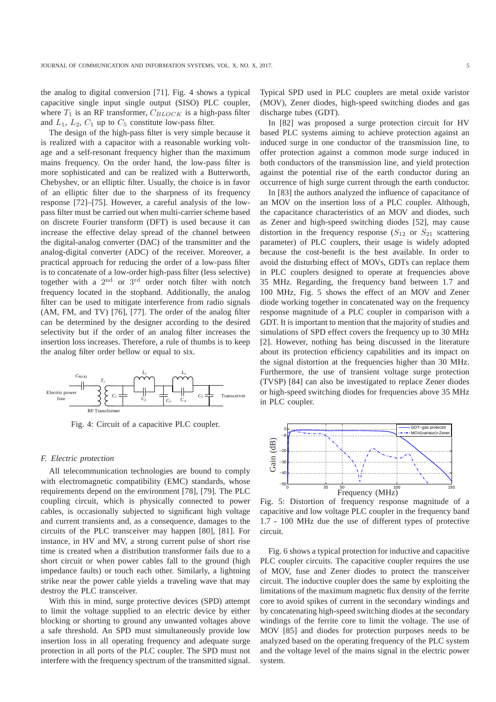the analog to digital conversion [71]. Fig. 4 shows a typical capacitive single input single output (SISO) PLC coupler, where  $T_1$  is an RF transformer,  $C_{BLOCK}$  is a high-pass filter and  $L_1$ ,  $L_2$ ,  $C_1$  up to  $C_5$  constitute low-pass filter.

The design of the high-pass filter is very simple because it is realized with a capacitor with a reasonable working voltage and a self-resonant frequency higher than the maximum mains frequency. On the order hand, the low-pass filter is more sophisticated and can be realized with a Butterworth, Chebyshev, or an elliptic filter. Usually, the choice is in favor of an elliptic filter due to the sharpness of its frequency response [72]–[75]. However, a careful analysis of the lowpass filter must be carried out when multi-carrier scheme based on discrete Fourier transform (DFT) is used because it can increase the effective delay spread of the channel between the digital-analog converter (DAC) of the transmitter and the analog-digital converter (ADC) of the receiver. Moreover, a practical approach for reducing the order of a low-pass filter is to concatenate of a low-order high-pass filter (less selective) together with a  $2<sup>nd</sup>$  or  $3<sup>rd</sup>$  order notch filter with notch frequency located in the stopband. Additionally, the analog filter can be used to mitigate interference from radio signals (AM, FM, and TV) [76], [77]. The order of the analog filter can be determined by the designer according to the desired selectivity but if the order of an analog filter increases the insertion loss increases. Therefore, a rule of thumbs is to keep the analog filter order bellow or equal to six.



Fig. 4: Circuit of a capacitive PLC coupler.

#### *F. Electric protection*

All telecommunication technologies are bound to comply with electromagnetic compatibility (EMC) standards, whose requirements depend on the environment [78], [79]. The PLC coupling circuit, which is physically connected to power cables, is occasionally subjected to significant high voltage and current transients and, as a consequence, damages to the circuits of the PLC transceiver may happen [80], [81]. For instance, in HV and MV, a strong current pulse of short rise time is created when a distribution transformer fails due to a short circuit or when power cables fall to the ground (high impedance faults) or touch each other. Similarly, a lightning strike near the power cable yields a traveling wave that may destroy the PLC transceiver.

With this in mind, surge protective devices (SPD) attempt to limit the voltage supplied to an electric device by either blocking or shorting to ground any unwanted voltages above a safe threshold. An SPD must simultaneously provide low insertion loss in all operating frequency and adequate surge protection in all ports of the PLC coupler. The SPD must not interfere with the frequency spectrum of the transmitted signal.

Typical SPD used in PLC couplers are metal oxide varistor (MOV), Zener diodes, high-speed switching diodes and gas discharge tubes (GDT).

In [82] was proposed a surge protection circuit for HV based PLC systems aiming to achieve protection against an induced surge in one conductor of the transmission line, to offer protection against a common mode surge induced in both conductors of the transmission line, and yield protection against the potential rise of the earth conductor during an occurrence of high surge current through the earth conductor.

In [83] the authors analyzed the influence of capacitance of an MOV on the insertion loss of a PLC coupler. Although, the capacitance characteristics of an MOV and diodes, such as Zener and high-speed switching diodes [52], may cause distortion in the frequency response  $(S_{12}$  or  $S_{21}$  scattering parameter) of PLC couplers, their usage is widely adopted because the cost-benefit is the best available. In order to avoid the disturbing effect of MOVs, GDTs can replace them in PLC couplers designed to operate at frequencies above 35 MHz. Regarding, the frequency band between 1.7 and 100 MHz, Fig. 5 shows the effect of an MOV and Zener diode working together in concatenated way on the frequency response magnitude of a PLC coupler in comparison with a GDT. It is important to mention that the majority of studies and simulations of SPD effect covers the frequency up to 30 MHz [2]. However, nothing has being discussed in the literature about its protection efficiency capabilities and its impact on the signal distortion at the frequencies higher than 30 MHz. Furthermore, the use of transient voltage surge protection (TVSP) [84] can also be investigated to replace Zener diodes or high-speed switching diodes for frequencies above 35 MHz in PLC coupler.



Fig. 5: Distortion of frequency response magnitude of a capacitive and low voltage PLC coupler in the frequency band 1.7 - 100 MHz due the use of different types of protective circuit.

Fig. 6 shows a typical protection for inductive and capacitive PLC coupler circuits. The capacitive coupler requires the use of MOV, fuse and Zener diodes to protect the transceiver circuit. The inductive coupler does the same by exploiting the limitations of the maximum magnetic flux density of the ferrite core to avoid spikes of current in the secondary windings and by concatenating high-speed switching diodes at the secondary windings of the ferrite core to limit the voltage. The use of MOV [85] and diodes for protection purposes needs to be analyzed based on the operating frequency of the PLC system and the voltage level of the mains signal in the electric power system.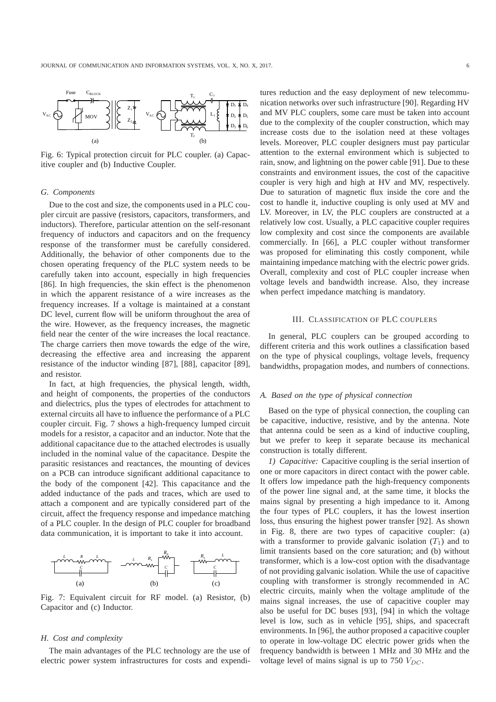

Fig. 6: Typical protection circuit for PLC coupler. (a) Capacitive coupler and (b) Inductive Coupler.

## *G. Components*

Due to the cost and size, the components used in a PLC coupler circuit are passive (resistors, capacitors, transformers, and inductors). Therefore, particular attention on the self-resonant frequency of inductors and capacitors and on the frequency response of the transformer must be carefully considered. Additionally, the behavior of other components due to the chosen operating frequency of the PLC system needs to be carefully taken into account, especially in high frequencies [86]. In high frequencies, the skin effect is the phenomenon in which the apparent resistance of a wire increases as the frequency increases. If a voltage is maintained at a constant DC level, current flow will be uniform throughout the area of the wire. However, as the frequency increases, the magnetic field near the center of the wire increases the local reactance. The charge carriers then move towards the edge of the wire, decreasing the effective area and increasing the apparent resistance of the inductor winding [87], [88], capacitor [89], and resistor.

In fact, at high frequencies, the physical length, width, and height of components, the properties of the conductors and dielectrics, plus the types of electrodes for attachment to external circuits all have to influence the performance of a PLC coupler circuit. Fig. 7 shows a high-frequency lumped circuit models for a resistor, a capacitor and an inductor. Note that the additional capacitance due to the attached electrodes is usually included in the nominal value of the capacitance. Despite the parasitic resistances and reactances, the mounting of devices on a PCB can introduce significant additional capacitance to the body of the component [42]. This capacitance and the added inductance of the pads and traces, which are used to attach a component and are typically considered part of the circuit, affect the frequency response and impedance matching of a PLC coupler. In the design of PLC coupler for broadband data communication, it is important to take it into account.



Fig. 7: Equivalent circuit for RF model. (a) Resistor, (b) Capacitor and (c) Inductor.

## *H. Cost and complexity*

The main advantages of the PLC technology are the use of electric power system infrastructures for costs and expenditures reduction and the easy deployment of new telecommunication networks over such infrastructure [90]. Regarding HV and MV PLC couplers, some care must be taken into account due to the complexity of the coupler construction, which may increase costs due to the isolation need at these voltages levels. Moreover, PLC coupler designers must pay particular attention to the external environment which is subjected to rain, snow, and lightning on the power cable [91]. Due to these constraints and environment issues, the cost of the capacitive coupler is very high and high at HV and MV, respectively. Due to saturation of magnetic flux inside the core and the cost to handle it, inductive coupling is only used at MV and LV. Moreover, in LV, the PLC couplers are constructed at a relatively low cost. Usually, a PLC capacitive coupler requires low complexity and cost since the components are available commercially. In [66], a PLC coupler without transformer was proposed for eliminating this costly component, while maintaining impedance matching with the electric power grids. Overall, complexity and cost of PLC coupler increase when voltage levels and bandwidth increase. Also, they increase when perfect impedance matching is mandatory.

## III. CLASSIFICATION OF PLC COUPLERS

In general, PLC couplers can be grouped according to different criteria and this work outlines a classification based on the type of physical couplings, voltage levels, frequency bandwidths, propagation modes, and numbers of connections.

## *A. Based on the type of physical connection*

Based on the type of physical connection, the coupling can be capacitive, inductive, resistive, and by the antenna. Note that antenna could be seen as a kind of inductive coupling, but we prefer to keep it separate because its mechanical construction is totally different.

*1) Capacitive:* Capacitive coupling is the serial insertion of one or more capacitors in direct contact with the power cable. It offers low impedance path the high-frequency components of the power line signal and, at the same time, it blocks the mains signal by presenting a high impedance to it. Among the four types of PLC couplers, it has the lowest insertion loss, thus ensuring the highest power transfer [92]. As shown in Fig. 8, there are two types of capacitive coupler: (a) with a transformer to provide galvanic isolation  $(T_1)$  and to limit transients based on the core saturation; and (b) without transformer, which is a low-cost option with the disadvantage of not providing galvanic isolation. While the use of capacitive coupling with transformer is strongly recommended in AC electric circuits, mainly when the voltage amplitude of the mains signal increases, the use of capacitive coupler may also be useful for DC buses [93], [94] in which the voltage level is low, such as in vehicle [95], ships, and spacecraft environments. In [96], the author proposed a capacitive coupler to operate in low-voltage DC electric power grids when the frequency bandwidth is between 1 MHz and 30 MHz and the voltage level of mains signal is up to 750  $V_{DC}$ .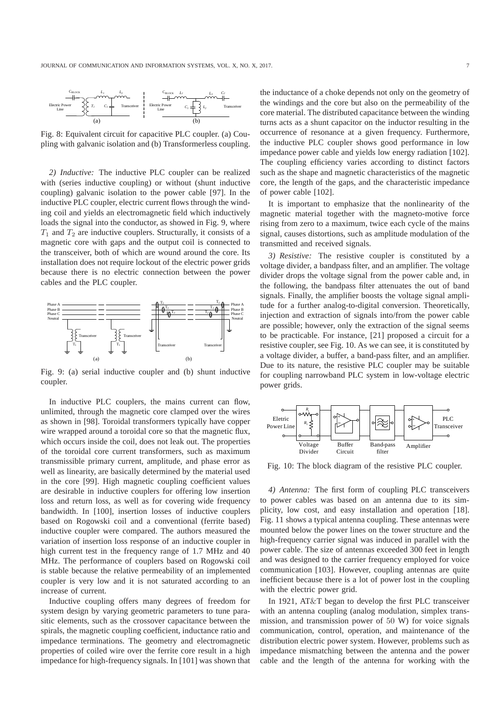

Fig. 8: Equivalent circuit for capacitive PLC coupler. (a) Coupling with galvanic isolation and (b) Transformerless coupling.

*2) Inductive:* The inductive PLC coupler can be realized with (series inductive coupling) or without (shunt inductive coupling) galvanic isolation to the power cable [97]. In the inductive PLC coupler, electric current flows through the winding coil and yields an electromagnetic field which inductively loads the signal into the conductor, as showed in Fig. 9, where  $T_1$  and  $T_2$  are inductive couplers. Structurally, it consists of a magnetic core with gaps and the output coil is connected to the transceiver, both of which are wound around the core. Its installation does not require lockout of the electric power grids because there is no electric connection between the power cables and the PLC coupler.



Fig. 9: (a) serial inductive coupler and (b) shunt inductive coupler.

In inductive PLC couplers, the mains current can flow, unlimited, through the magnetic core clamped over the wires as shown in [98]. Toroidal transformers typically have copper wire wrapped around a toroidal core so that the magnetic flux, which occurs inside the coil, does not leak out. The properties of the toroidal core current transformers, such as maximum transmissible primary current, amplitude, and phase error as well as linearity, are basically determined by the material used in the core [99]. High magnetic coupling coefficient values are desirable in inductive couplers for offering low insertion loss and return loss, as well as for covering wide frequency bandwidth. In [100], insertion losses of inductive couplers based on Rogowski coil and a conventional (ferrite based) inductive coupler were compared. The authors measured the variation of insertion loss response of an inductive coupler in high current test in the frequency range of 1.7 MHz and 40 MHz. The performance of couplers based on Rogowski coil is stable because the relative permeability of an implemented coupler is very low and it is not saturated according to an increase of current.

Inductive coupling offers many degrees of freedom for system design by varying geometric parameters to tune parasitic elements, such as the crossover capacitance between the spirals, the magnetic coupling coefficient, inductance ratio and impedance terminations. The geometry and electromagnetic properties of coiled wire over the ferrite core result in a high impedance for high-frequency signals. In [101] was shown that the inductance of a choke depends not only on the geometry of the windings and the core but also on the permeability of the core material. The distributed capacitance between the winding turns acts as a shunt capacitor on the inductor resulting in the occurrence of resonance at a given frequency. Furthermore, the inductive PLC coupler shows good performance in low impedance power cable and yields low energy radiation [102]. The coupling efficiency varies according to distinct factors such as the shape and magnetic characteristics of the magnetic core, the length of the gaps, and the characteristic impedance of power cable [102].

It is important to emphasize that the nonlinearity of the magnetic material together with the magneto-motive force rising from zero to a maximum, twice each cycle of the mains signal, causes distortions, such as amplitude modulation of the transmitted and received signals.

*3) Resistive:* The resistive coupler is constituted by a voltage divider, a bandpass filter, and an amplifier. The voltage divider drops the voltage signal from the power cable and, in the following, the bandpass filter attenuates the out of band signals. Finally, the amplifier boosts the voltage signal amplitude for a further analog-to-digital conversion. Theoretically, injection and extraction of signals into/from the power cable are possible; however, only the extraction of the signal seems to be practicable. For instance, [21] proposed a circuit for a resistive coupler, see Fig. 10. As we can see, it is constituted by a voltage divider, a buffer, a band-pass filter, and an amplifier. Due to its nature, the resistive PLC coupler may be suitable for coupling narrowband PLC system in low-voltage electric power grids.



Fig. 10: The block diagram of the resistive PLC coupler.

*4) Antenna:* The first form of coupling PLC transceivers to power cables was based on an antenna due to its simplicity, low cost, and easy installation and operation [18]. Fig. 11 shows a typical antenna coupling. These antennas were mounted below the power lines on the tower structure and the high-frequency carrier signal was induced in parallel with the power cable. The size of antennas exceeded 300 feet in length and was designed to the carrier frequency employed for voice communication [103]. However, coupling antennas are quite inefficient because there is a lot of power lost in the coupling with the electric power grid.

In 1921, AT&T began to develop the first PLC transceiver with an antenna coupling (analog modulation, simplex transmission, and transmission power of 50 W) for voice signals communication, control, operation, and maintenance of the distribution electric power system. However, problems such as impedance mismatching between the antenna and the power cable and the length of the antenna for working with the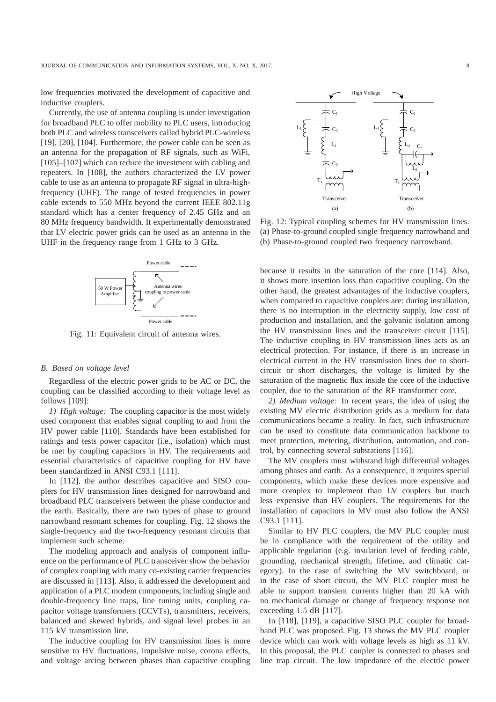low frequencies motivated the development of capacitive and inductive couplers.

Currently, the use of antenna coupling is under investigation for broadband PLC to offer mobility to PLC users, introducing both PLC and wireless transceivers called hybrid PLC-wireless [19], [20], [104]. Furthermore, the power cable can be seen as an antenna for the propagation of RF signals, such as WiFi, [105]–[107] which can reduce the investment with cabling and repeaters. In [108], the authors characterized the LV power cable to use as an antenna to propagate RF signal in ultra-highfrequency (UHF). The range of tested frequencies in power cable extends to 550 MHz beyond the current IEEE 802.11g standard which has a center frequency of 2.45 GHz and an 80 MHz frequency bandwidth. It experimentally demonstrated that LV electric power grids can be used as an antenna in the UHF in the frequency range from 1 GHz to 3 GHz.



Fig. 11: Equivalent circuit of antenna wires.

#### *B. Based on voltage level*

Regardless of the electric power grids to be AC or DC, the coupling can be classified according to their voltage level as follows [109]:

*1) High voltage:* The coupling capacitor is the most widely used component that enables signal coupling to and from the HV power cable [110]. Standards have been established for ratings and tests power capacitor (i.e., isolation) which must be met by coupling capacitors in HV. The requirements and essential characteristics of capacitive coupling for HV have been standardized in ANSI C93.1 [111].

In [112], the author describes capacitive and SISO couplers for HV transmission lines designed for narrowband and broadband PLC transceivers between the phase conductor and the earth. Basically, there are two types of phase to ground narrowband resonant schemes for coupling. Fig. 12 shows the single-frequency and the two-frequency resonant circuits that implement such scheme.

The modeling approach and analysis of component influence on the performance of PLC transceiver show the behavior of complex coupling with many co-existing carrier frequencies are discussed in [113]. Also, it addressed the development and application of a PLC modem components, including single and double-frequency line traps, line tuning units, coupling capacitor voltage transformers (CCVTs), transmitters, receivers, balanced and skewed hybrids, and signal level probes in an 115 kV transmission line.

The inductive coupling for HV transmission lines is more sensitive to HV fluctuations, impulsive noise, corona effects, and voltage arcing between phases than capacitive coupling



Fig. 12: Typical coupling schemes for HV transmission lines. (a) Phase-to-ground coupled single frequency narrowband and (b) Phase-to-ground coupled two frequency narrowband.

because it results in the saturation of the core [114]. Also, it shows more insertion loss than capacitive coupling. On the other hand, the greatest advantages of the inductive couplers, when compared to capacitive couplers are: during installation, there is no interruption in the electricity supply, low cost of production and installation, and the galvanic isolation among the HV transmission lines and the transceiver circuit [115]. The inductive coupling in HV transmission lines acts as an electrical protection. For instance, if there is an increase in electrical current in the HV transmission lines due to shortcircuit or short discharges, the voltage is limited by the saturation of the magnetic flux inside the core of the inductive coupler, due to the saturation of the RF transformer core.

*2) Medium voltage:* In recent years, the idea of using the existing MV electric distribution grids as a medium for data communications became a reality. In fact, such infrastructure can be used to constitute data communication backbone to meet protection, metering, distribution, automation, and control, by connecting several substations [116].

The MV couplers must withstand high differential voltages among phases and earth. As a consequence, it requires special components, which make these devices more expensive and more complex to implement than LV couplers but much less expensive than HV couplers. The requirements for the installation of capacitors in MV must also follow the ANSI C93.1 [111].

Similar to HV PLC couplers, the MV PLC coupler must be in compliance with the requirement of the utility and applicable regulation (e.g. insulation level of feeding cable, grounding, mechanical strength, lifetime, and climatic category). In the case of switching the MV switchboard, or in the case of short circuit, the MV PLC coupler must be able to support transient currents higher than 20 kA with no mechanical damage or change of frequency response not exceeding 1.5 dB [117].

In [118], [119], a capacitive SISO PLC coupler for broadband PLC was proposed. Fig. 13 shows the MV PLC coupler device which can work with voltage levels as high as 11 kV. In this proposal, the PLC coupler is connected to phases and line trap circuit. The low impedance of the electric power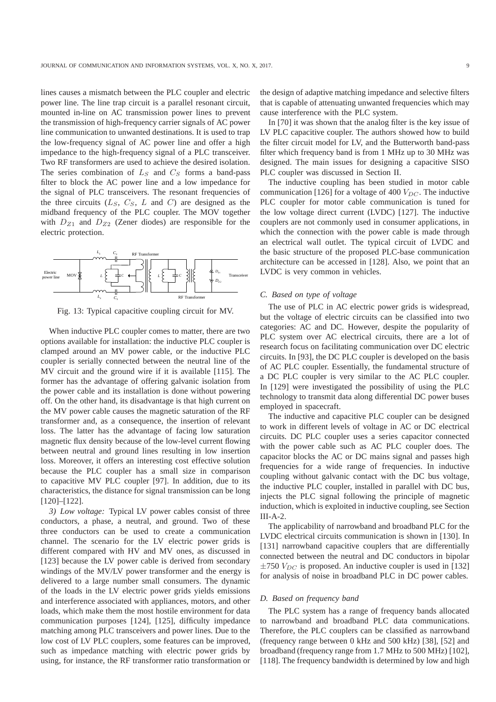lines causes a mismatch between the PLC coupler and electric power line. The line trap circuit is a parallel resonant circuit, mounted in-line on AC transmission power lines to prevent the transmission of high-frequency carrier signals of AC power line communication to unwanted destinations. It is used to trap the low-frequency signal of AC power line and offer a high impedance to the high-frequency signal of a PLC transceiver. Two RF transformers are used to achieve the desired isolation. The series combination of  $L<sub>S</sub>$  and  $C<sub>S</sub>$  forms a band-pass filter to block the AC power line and a low impedance for the signal of PLC transceivers. The resonant frequencies of the three circuits  $(L<sub>S</sub>, C<sub>S</sub>, L$  and C) are designed as the midband frequency of the PLC coupler. The MOV together with  $D_{Z1}$  and  $D_{Z2}$  (Zener diodes) are responsible for the electric protection.



Fig. 13: Typical capacitive coupling circuit for MV.

When inductive PLC coupler comes to matter, there are two options available for installation: the inductive PLC coupler is clamped around an MV power cable, or the inductive PLC coupler is serially connected between the neutral line of the MV circuit and the ground wire if it is available [115]. The former has the advantage of offering galvanic isolation from the power cable and its installation is done without powering off. On the other hand, its disadvantage is that high current on the MV power cable causes the magnetic saturation of the RF transformer and, as a consequence, the insertion of relevant loss. The latter has the advantage of facing low saturation magnetic flux density because of the low-level current flowing between neutral and ground lines resulting in low insertion loss. Moreover, it offers an interesting cost effective solution because the PLC coupler has a small size in comparison to capacitive MV PLC coupler [97]. In addition, due to its characteristics, the distance for signal transmission can be long [120]–[122].

*3) Low voltage:* Typical LV power cables consist of three conductors, a phase, a neutral, and ground. Two of these three conductors can be used to create a communication channel. The scenario for the LV electric power grids is different compared with HV and MV ones, as discussed in [123] because the LV power cable is derived from secondary windings of the MV/LV power transformer and the energy is delivered to a large number small consumers. The dynamic of the loads in the LV electric power grids yields emissions and interference associated with appliances, motors, and other loads, which make them the most hostile environment for data communication purposes [124], [125], difficulty impedance matching among PLC transceivers and power lines. Due to the low cost of LV PLC couplers, some features can be improved, such as impedance matching with electric power grids by using, for instance, the RF transformer ratio transformation or

the design of adaptive matching impedance and selective filters that is capable of attenuating unwanted frequencies which may cause interference with the PLC system.

In [70] it was shown that the analog filter is the key issue of LV PLC capacitive coupler. The authors showed how to build the filter circuit model for LV, and the Butterworth band-pass filter which frequency band is from 1 MHz up to 30 MHz was designed. The main issues for designing a capacitive SISO PLC coupler was discussed in Section II.

The inductive coupling has been studied in motor cable communication [126] for a voltage of 400  $V_{DC}$ . The inductive PLC coupler for motor cable communication is tuned for the low voltage direct current (LVDC) [127]. The inductive couplers are not commonly used in consumer applications, in which the connection with the power cable is made through an electrical wall outlet. The typical circuit of LVDC and the basic structure of the proposed PLC-base communication architecture can be accessed in [128]. Also, we point that an LVDC is very common in vehicles.

#### *C. Based on type of voltage*

The use of PLC in AC electric power grids is widespread, but the voltage of electric circuits can be classified into two categories: AC and DC. However, despite the popularity of PLC system over AC electrical circuits, there are a lot of research focus on facilitating communication over DC electric circuits. In [93], the DC PLC coupler is developed on the basis of AC PLC coupler. Essentially, the fundamental structure of a DC PLC coupler is very similar to the AC PLC coupler. In [129] were investigated the possibility of using the PLC technology to transmit data along differential DC power buses employed in spacecraft.

The inductive and capacitive PLC coupler can be designed to work in different levels of voltage in AC or DC electrical circuits. DC PLC coupler uses a series capacitor connected with the power cable such as AC PLC coupler does. The capacitor blocks the AC or DC mains signal and passes high frequencies for a wide range of frequencies. In inductive coupling without galvanic contact with the DC bus voltage, the inductive PLC coupler, installed in parallel with DC bus, injects the PLC signal following the principle of magnetic induction, which is exploited in inductive coupling, see Section III-A-2.

The applicability of narrowband and broadband PLC for the LVDC electrical circuits communication is shown in [130]. In [131] narrowband capacitive couplers that are differentially connected between the neutral and DC conductors in bipolar  $\pm$ 750  $V_{DC}$  is proposed. An inductive coupler is used in [132] for analysis of noise in broadband PLC in DC power cables.

# *D. Based on frequency band*

The PLC system has a range of frequency bands allocated to narrowband and broadband PLC data communications. Therefore, the PLC couplers can be classified as narrowband (frequency range between 0 kHz and 500 kHz) [38], [52] and broadband (frequency range from 1.7 MHz to 500 MHz) [102], [118]. The frequency bandwidth is determined by low and high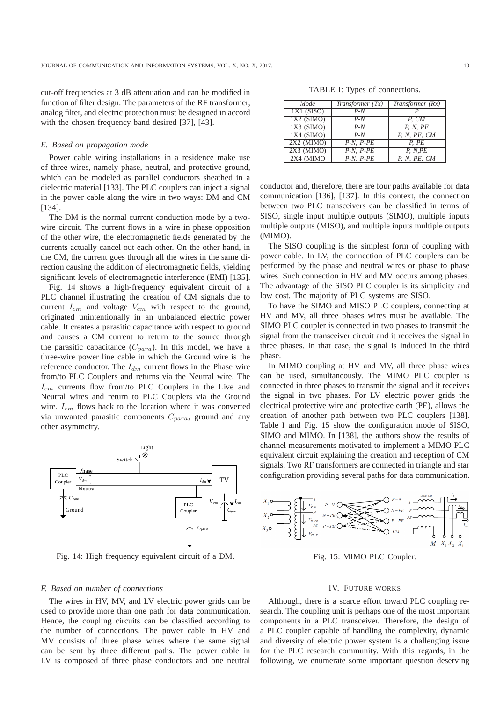cut-off frequencies at 3 dB attenuation and can be modified in function of filter design. The parameters of the RF transformer, analog filter, and electric protection must be designed in accord with the chosen frequency band desired [37], [43].

## *E. Based on propagation mode*

Power cable wiring installations in a residence make use of three wires, namely phase, neutral, and protective ground, which can be modeled as parallel conductors sheathed in a dielectric material [133]. The PLC couplers can inject a signal in the power cable along the wire in two ways: DM and CM [134].

The DM is the normal current conduction mode by a twowire circuit. The current flows in a wire in phase opposition of the other wire, the electromagnetic fields generated by the currents actually cancel out each other. On the other hand, in the CM, the current goes through all the wires in the same direction causing the addition of electromagnetic fields, yielding significant levels of electromagnetic interference (EMI) [135].

Fig. 14 shows a high-frequency equivalent circuit of a PLC channel illustrating the creation of CM signals due to current  $I_{cm}$  and voltage  $V_{cm}$  with respect to the ground, originated unintentionally in an unbalanced electric power cable. It creates a parasitic capacitance with respect to ground and causes a CM current to return to the source through the parasitic capacitance  $(C_{para})$ . In this model, we have a three-wire power line cable in which the Ground wire is the reference conductor. The  $I_{dm}$  current flows in the Phase wire from/to PLC Couplers and returns via the Neutral wire. The  $I_{cm}$  currents flow from/to PLC Couplers in the Live and Neutral wires and return to PLC Couplers via the Ground wire.  $I_{cm}$  flows back to the location where it was converted via unwanted parasitic components  $C_{para}$ , ground and any other asymmetry.



Fig. 14: High frequency equivalent circuit of a DM.

# *F. Based on number of connections*

The wires in HV, MV, and LV electric power grids can be used to provide more than one path for data communication. Hence, the coupling circuits can be classified according to the number of connections. The power cable in HV and MV consists of three phase wires where the same signal can be sent by three different paths. The power cable in LV is composed of three phase conductors and one neutral

TABLE I: Types of connections.

| Mode         | Transformer $(Tx)$ | Transformer $(Rx)$ |
|--------------|--------------------|--------------------|
| $1X1$ (SISO) | $P-N$              |                    |
| $1X2$ (SIMO) | $P-N$              | P. CM              |
| $1X3$ (SIMO) | $P-N$              | P, N, PE           |
| $1X4$ (SIMO) | $P-N$              | P. N. PE. CM       |
| $2X2$ (MIMO) | $P-N, P-PE$        | P. PE              |
| $2X3$ (MIMO) | $P-N. P-PE$        | P, N, PE           |
| 2X4 (MIMO    | $P-N. P-PE$        | P, N, PE, CM       |

conductor and, therefore, there are four paths available for data communication [136], [137]. In this context, the connection between two PLC transceivers can be classified in terms of SISO, single input multiple outputs (SIMO), multiple inputs multiple outputs (MISO), and multiple inputs multiple outputs (MIMO).

The SISO coupling is the simplest form of coupling with power cable. In LV, the connection of PLC couplers can be performed by the phase and neutral wires or phase to phase wires. Such connection in HV and MV occurs among phases. The advantage of the SISO PLC coupler is its simplicity and low cost. The majority of PLC systems are SISO.

To have the SIMO and MISO PLC couplers, connecting at HV and MV, all three phases wires must be available. The SIMO PLC coupler is connected in two phases to transmit the signal from the transceiver circuit and it receives the signal in three phases. In that case, the signal is induced in the third phase.

In MIMO coupling at HV and MV, all three phase wires can be used, simultaneously. The MIMO PLC coupler is connected in three phases to transmit the signal and it receives the signal in two phases. For LV electric power grids the electrical protective wire and protective earth (PE), allows the creation of another path between two PLC couplers [138]. Table I and Fig. 15 show the configuration mode of SISO, SIMO and MIMO. In [138], the authors show the results of channel measurements motivated to implement a MIMO PLC equivalent circuit explaining the creation and reception of CM signals. Two RF transformers are connected in triangle and star configuration providing several paths for data communication.



Fig. 15: MIMO PLC Coupler.

## IV. FUTURE WORKS

Although, there is a scarce effort toward PLC coupling research. The coupling unit is perhaps one of the most important components in a PLC transceiver. Therefore, the design of a PLC coupler capable of handling the complexity, dynamic and diversity of electric power system is a challenging issue for the PLC research community. With this regards, in the following, we enumerate some important question deserving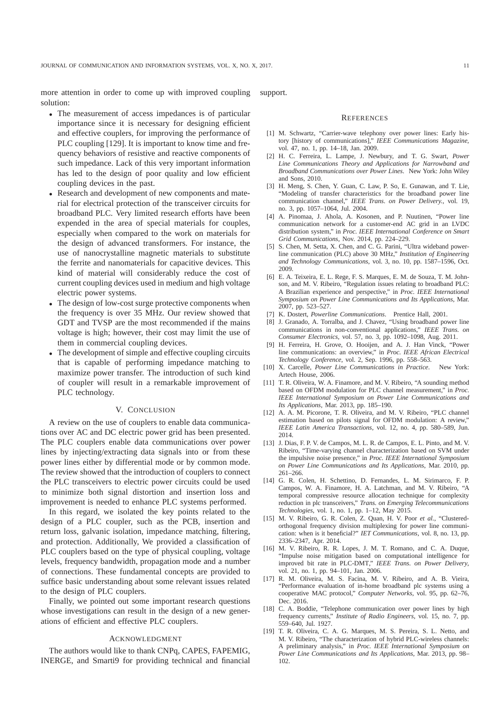more attention in order to come up with improved coupling solution:

- The measurement of access impedances is of particular importance since it is necessary for designing efficient and effective couplers, for improving the performance of PLC coupling [129]. It is important to know time and frequency behaviors of resistive and reactive components of such impedance. Lack of this very important information has led to the design of poor quality and low efficient coupling devices in the past.
- Research and development of new components and material for electrical protection of the transceiver circuits for broadband PLC. Very limited research efforts have been expended in the area of special materials for couples, especially when compared to the work on materials for the design of advanced transformers. For instance, the use of nanocrystalline magnetic materials to substitute the ferrite and nanomaterials for capacitive devices. This kind of material will considerably reduce the cost of current coupling devices used in medium and high voltage electric power systems.
- The design of low-cost surge protective components when the frequency is over 35 MHz. Our review showed that GDT and TVSP are the most recommended if the mains voltage is high; however, their cost may limit the use of them in commercial coupling devices.
- The development of simple and effective coupling circuits that is capable of performing impedance matching to maximize power transfer. The introduction of such kind of coupler will result in a remarkable improvement of PLC technology.

#### V. CONCLUSION

A review on the use of couplers to enable data communications over AC and DC electric power grid has been presented. The PLC couplers enable data communications over power lines by injecting/extracting data signals into or from these power lines either by differential mode or by common mode. The review showed that the introduction of couplers to connect the PLC transceivers to electric power circuits could be used to minimize both signal distortion and insertion loss and improvement is needed to enhance PLC systems performed.

In this regard, we isolated the key points related to the design of a PLC coupler, such as the PCB, insertion and return loss, galvanic isolation, impedance matching, filtering, and protection. Additionally, We provided a classification of PLC couplers based on the type of physical coupling, voltage levels, frequency bandwidth, propagation mode and a number of connections. These fundamental concepts are provided to suffice basic understanding about some relevant issues related to the design of PLC couplers.

Finally, we pointed out some important research questions whose investigations can result in the design of a new generations of efficient and effective PLC couplers.

### ACKNOWLEDGMENT

The authors would like to thank CNPq, CAPES, FAPEMIG, INERGE, and Smarti9 for providing technical and financial support.

#### **REFERENCES**

- [1] M. Schwartz, "Carrier-wave telephony over power lines: Early history [history of communications]," *IEEE Communications Magazine*, vol. 47, no. 1, pp. 14–18, Jan. 2009.
- [2] H. C. Ferreira, L. Lampe, J. Newbury, and T. G. Swart, *Power Line Communications Theory and Applications for Narrowband and Broadband Communications over Power Lines*. New York: John Wiley and Sons, 2010.
- [3] H. Meng, S. Chen, Y. Guan, C. Law, P. So, E. Gunawan, and T. Lie, "Modeling of transfer characteristics for the broadband power line communication channel," *IEEE Trans. on Power Delivery.*, vol. 19, no. 3, pp. 1057–1064, Jul. 2004.
- [4] A. Pinomaa, J. Ahola, A. Kosonen, and P. Nuutinen, "Power line communication network for a customer-end AC grid in an LVDC distribution system," in *Proc. IEEE International Conference on Smart Grid Communications*, Nov. 2014, pp. 224–229.
- [5] S. Chen, M. Setta, X. Chen, and C. G. Parini, "Ultra wideband powerline communication (PLC) above 30 MHz," *Institution of Engineering and Technology Communications*, vol. 3, no. 10, pp. 1587–1596, Oct. 2009.
- [6] E. A. Teixeira, E. L. Rege, F. S. Marques, E. M. de Souza, T. M. Johnson, and M. V. Ribeiro, "Regulation issues relating to broadband PLC: A Brazilian experience and perspective," in *Proc. IEEE International Symposium on Power Line Communications and Its Applications*, Mar. 2007, pp. 523–527.
- [7] K. Dostert, *Powerline Communications*. Prentice Hall, 2001.
- [8] J. Granado, A. Torralba, and J. Chavez, "Using broadband power line communications in non-conventional applications," *IEEE Trans. on Consumer Electronics*, vol. 57, no. 3, pp. 1092–1098, Aug. 2011.
- [9] H. Ferreira, H. Grove, O. Hooijen, and A. J. Han Vinck, "Power line communications: an overview," in *Proc. IEEE African Electrical Technology Conference*, vol. 2, Sep. 1996, pp. 558–563.
- [10] X. Carcelle, *Power Line Communications in Practice*. New York: Artech House, 2006.
- [11] T. R. Oliveira, W. A. Finamore, and M. V. Ribeiro, "A sounding method based on OFDM modulation for PLC channel measurement," in *Proc. IEEE International Symposium on Power Line Communications and Its Applications*, Mar. 2013, pp. 185–190.
- [12] A. A. M. Picorone, T. R. Oliveira, and M. V. Ribeiro, "PLC channel estimation based on pilots signal for OFDM modulation: A review," *IEEE Latin America Transactions*, vol. 12, no. 4, pp. 580–589, Jun. 2014.
- [13] J. Dias, F. P. V. de Campos, M. L. R. de Campos, E. L. Pinto, and M. V. Ribeiro, "Time-varying channel characterization based on SVM under the impulsive noise presence," in *Proc. IEEE International Symposium on Power Line Communications and Its Applications*, Mar. 2010, pp. 261–266.
- [14] G. R. Colen, H. Schettino, D. Fernandes, L. M. Sirimarco, F. P. Campos, W. A. Finamore, H. A. Latchman, and M. V. Ribeiro, "A temporal compressive resource allocation technique for complexity reduction in plc transceivers," *Trans. on Emerging Telecommunications Technologies*, vol. 1, no. 1, pp. 1–12, May 2015.
- [15] M. V. Ribeiro, G. R. Colen, Z. Quan, H. V. Poor *et al.*, "Clusteredorthogonal frequency division multiplexing for power line communication: when is it beneficial?" *IET Communications*, vol. 8, no. 13, pp. 2336–2347, Apr. 2014.
- [16] M. V. Ribeiro, R. R. Lopes, J. M. T. Romano, and C. A. Duque, "Impulse noise mitigation based on computational intelligence for improved bit rate in PLC-DMT," *IEEE Trans. on Power Delivery*, vol. 21, no. 1, pp. 94–101, Jan. 2006.
- [17] R. M. Oliveira, M. S. Facina, M. V. Ribeiro, and A. B. Vieira, "Performance evaluation of in-home broadband plc systems using a cooperative MAC protocol," *Computer Networks*, vol. 95, pp. 62–76, Dec. 2016.
- [18] C. A. Boddie, "Telephone communication over power lines by high frequency currents," *Institute of Radio Engineers*, vol. 15, no. 7, pp. 559–640, Jul. 1927.
- [19] T. R. Oliveira, C. A. G. Marques, M. S. Pereira, S. L. Netto, and M. V. Ribeiro, "The characterization of hybrid PLC-wireless channels: A preliminary analysis," in *Proc. IEEE International Symposium on Power Line Communications and Its Applications*, Mar. 2013, pp. 98– 102.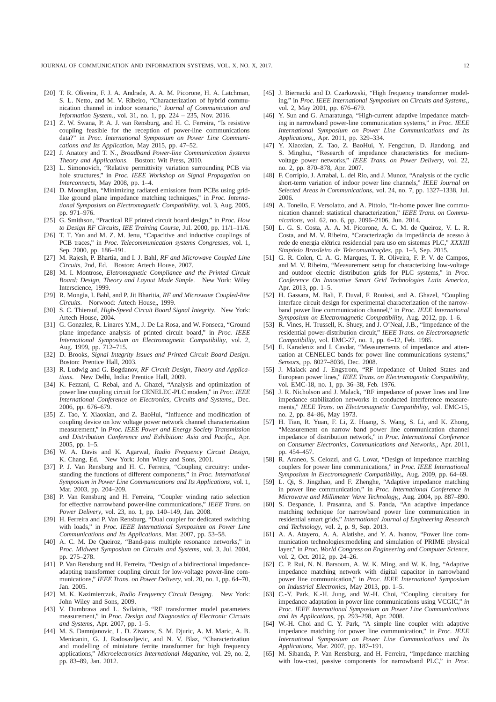- [20] T. R. Oliveira, F. J. A. Andrade, A. A. M. Picorone, H. A. Latchman, S. L. Netto, and M. V. Ribeiro, "Characterization of hybrid communication channel in indoor scenario," *Journal of Communication and Information System.*, vol. 31, no. 1, pp. 224 – 235, Nov. 2016.
- [21] Z. W. Swana, P. A. J. van Rensburg, and H. C. Ferreira, "Is resistive coupling feasible for the reception of power-line communications data?" in *Proc. International Symposium on Power Line Communications and Its Application*, May 2015, pp. 47–52.
- [22] J. Anatory and T. N., *Broadband Power-line Communication Systems Theory and Applications*. Boston: Wit Press, 2010.
- [23] L. Simonovich, "Relative permittivity variation surrounding PCB via hole structures," in *Proc. IEEE Workshop on Signal Propagation on Interconnects*, May 2008, pp. 1–4.
- [24] D. Moongilan, "Minimizing radiated emissions from PCBs using gridlike ground plane impedance matching techniques," in *Proc. International Symposium on Electromagnetic Compatibility*, vol. 3, Aug. 2005, pp. 971–976.
- [25] G. Smithson, "Practical RF printed circuit board design," in *Proc. How to Design RF Circuits, IEE Training Course*, Jul. 2000, pp. 11/1–11/6.
- [26] T. T. Yan and M. Z. M. Jenu, "Capacitive and inductive couplings of PCB traces," in *Proc. Telecommunication systems Congresses*, vol. 1, Sep. 2000, pp. 186–191.
- [27] M. Rajesh, P. Bhartia, and I. J. Bahl, *RF and Microwave Coupled Line Circuits*, 2nd, Ed. Boston: Artech House, 2007.
- [28] M. I. Montrose, *Eletromagnetic Compliance and the Printed Circuit Board: Design, Theory and Layout Made Simple*. New York: Wiley Interscience, 1999.
- [29] R. Mongia, I. Bahl, and P. Jit Bharitia, *RF and Microwave Coupled-line Circuits*. Norwood: Artech House, 1999.
- [30] S. C. Thierauf, *High-Speed Circuit Board Signal Integrity*. New York: Artech House, 2004.
- [31] G. Gonzalez, R. Linares Y.M., J. De La Rosa, and W. Fonseca, "Ground plane impedance analysis of printed circuit board," in *Proc. IEEE International Symposium on Electromagnetic Compatibility*, vol. 2, Aug. 1999, pp. 712–715.
- [32] D. Brooks, *Signal Integrity Issues and Printed Circuit Board Design*. Boston: Prentice Hall, 2003.
- [33] R. Ludwig and G. Bogdanov, *RF Circuit Design, Theory and Applications*. New Delhi, India: Prentice Hall, 2009.
- [34] K. Fezzani, C. Rebai, and A. Ghazel, "Analysis and optimization of power line coupling circuit for CENELEC-PLC modem," in *Proc. IEEE International Conference on Electronics, Circuits and Systems,*, Dec. 2006, pp. 676–679.
- [35] Z. Tao, Y. Xiaoxian, and Z. BaoHui, "Influence and modification of coupling device on low voltage power network channel characterization measurement," in *Proc. IEEE Power and Energy Society Transmission and Distribution Conference and Exhibition: Asia and Pacific,*, Apr. 2005, pp. 1–5.
- [36] W. A. Davis and K. Agarwal, *Radio Frequency Circuit Design*, K. Chang, Ed. New York: John Wiley and Sons, 2001.
- [37] P. J. Van Rensburg and H. C. Ferreira, "Coupling circuitry: understanding the functions of different components," in *Proc. International Symposium in Power Line Communications and Its Applications*, vol. 1, Mar. 2003, pp. 204–209.
- [38] P. Van Rensburg and H. Ferreira, "Coupler winding ratio selection for effective narrowband power-line communications," *IEEE Trans. on Power Delivery*, vol. 23, no. 1, pp. 140–149, Jan. 2008.
- [39] H. Ferreira and P. Van Rensburg, "Dual coupler for dedicated switching with loads," in *Proc. IEEE International Symposium on Power Line Communications and Its Applications*, Mar. 2007, pp. 53–58.
- [40] A. C. M. De Queiroz, "Band-pass multiple resonance networks," in *Proc. Midwest Symposium on Circuits and Systems*, vol. 3, Jul. 2004, pp. 275–278.
- [41] P. Van Rensburg and H. Ferreira, "Design of a bidirectional impedanceadapting transformer coupling circuit for low-voltage power-line communications," *IEEE Trans. on Power Delivery*, vol. 20, no. 1, pp. 64–70, Jan. 2005.
- [42] M. K. Kazimierczuk, *Radio Frequency Circuit Designg*. New York: John Wiley and Sons, 2009.
- [43] V. Dumbrava and L. Svilainis, "RF transformer model parameters measurement," in *Proc. Design and Diagnostics of Electronic Circuits and Systems*, Apr. 2007, pp. 1–5.
- [44] M. S. Damnjanovic, L. D. Zivanov, S. M. Djuric, A. M. Maric, A. B. Menicanin, G. J. Radosavljevic, and N. V. Blaz, "Characterization and modelling of miniature ferrite transformer for high frequency applications," *Microelectronics International Magazine*, vol. 29, no. 2, pp. 83–89, Jan. 2012.
- [45] J. Biernacki and D. Czarkowski, "High frequency transformer modeling," in *Proc. IEEE International Symposium on Circuits and Systems,*, vol. 2, May 2001, pp. 676–679.
- [46] Y. Sun and G. Amaratunga, "High-current adaptive impedance matching in narrowband power-line communication systems," in *Proc. IEEE International Symposium on Power Line Communications and Its Applications,*, Apr. 2011, pp. 329–334.
- [47] Y. Xiaoxian, Z. Tao, Z. BaoHui, Y. Fengchun, D. Jiandong, and S. Minghui, "Research of impedance characteristics for mediumvoltage power networks," *IEEE Trans. on Power Delivery*, vol. 22, no. 2, pp. 870–878, Apr. 2007.
- [48] F. Corripio, J. Arrabal, L. del Rio, and J. Munoz, "Analysis of the cyclic short-term variation of indoor power line channels," *IEEE Journal on Selected Areas in Communications*, vol. 24, no. 7, pp. 1327–1338, Jul. 2006.
- [49] A. Tonello, F. Versolatto, and A. Pittolo, "In-home power line communication channel: statistical characterization," *IEEE Trans. on Communications*, vol. 62, no. 6, pp. 2096–2106, Jun. 2014.
- [50] L. G. S. Costa, A. A. M. Picorone, A. C. M. de Queiroz, V. L. R. Costa, and M. V. Ribeiro, "Caracterização da impedância de acesso à rede de energia elétrica residencial para uso em sistemas PLC," *XXXIII Simpósio Brasileiro de Telecomunicações*, pp. 1–5, Sep. 2015.
- [51] G. R. Colen, C. A. G. Marques, T. R. Oliveira, F. P. V. de Campos, and M. V. Ribeiro, "Measurement setup for characterizing low-voltage and outdoor electric distribution grids for PLC systems," in *Proc. Conference On Innovative Smart Grid Technologies Latin America*, Apr. 2013, pp. 1–5.
- [52] H. Gassara, M. Bali, F. Duval, F. Rouissi, and A. Ghazel, "Coupling interface circuit design for experimental characterization of the narrowband power line communication channel." in *Proc. IEEE International Symposium on Electromagnetic Compatibility*, Aug. 2012, pp. 1–6.
- [53] R. Vines, H. Trussell, K. Shuey, and J. O'Neal, J.B., "Impedance of the residential power-distribution circuit," *IEEE Trans. on Electromagnetic Compatibility*, vol. EMC-27, no. 1, pp. 6–12, Feb. 1985.
- [54] E. Karadeniz and I. Cavdar, "Measurements of impedance and attenuation at CENELEC bands for power line communications systems," *Sensors*, pp. 8027–8036, Dec. 2008.
- [55] J. Malack and J. Engstrom, "RF impedance of United States and European power lines," *IEEE Trans. on Electromagnetic Compatibility*, vol. EMC-18, no. 1, pp. 36–38, Feb. 1976.
- [56] J. R. Nicholson and J. Malack, "RF impedance of power lines and line impedance stabilization networks in conducted interference measurements," *IEEE Trans. on Electromagnetic Compatibility*, vol. EMC-15, no. 2, pp. 84–86, May 1973.
- [57] H. Tian, R. Yuan, F. Li, Z. Huang, S. Wang, S. Li, and K. Zhong, "Measurement on narrow band power line communication channel impedance of distribution network," in *Proc. International Conference on Consumer Electronics, Communications and Networks,*, Apr. 2011, pp. 454–457.
- [58] R. Araneo, S. Celozzi, and G. Lovat, "Design of impedance matching couplers for power line communications," in *Proc. IEEE International Symposium in Electromagnetic Compatibility,*, Aug. 2009, pp. 64–69.
- [59] L. Qi, S. Jingzhao, and F. Zhenghe, "Adaptive impedance matching in power line communication," in *Proc. International Conference in Microwave and Millimeter Wave Technology,*, Aug. 2004, pp. 887–890.
- [60] S. Despande, I. Prasanna, and S. Panda, "An adaptive impedance matching technique for narrowband power line communication in residential smart grids," *International Journal of Engineering Research and Technology*, vol. 2, p. 9, Sep. 2013.
- [61] A. A. Atayero, A. A. Alatishe, and Y. A. Ivanov, "Power line communication technologies:modeling and simulation of PRIME physical layer," in *Proc. World Congress on Engineering and Computer Science*, vol. 2, Oct. 2012, pp. 24–26.
- [62] C. P. Rui, N. N. Barsoum, A. W. K. Ming, and W. K. Ing, "Adaptive impedance matching network with digital capacitor in narrowband power line communication," in *Proc. IEEE International Symposium on Industrial Electronics*, May 2013, pp. 1–5.
- [63] C.-Y. Park, K.-H. Jung, and W.-H. Choi, "Coupling circuitary for impedance adaptation in power line communications using VCGIC," *in Proc. IEEE International Symposium on Power Line Communications and Its Applications*, pp. 293–298, Apr. 2008.
- [64] W.-H. Choi and C. Y. Park, "A simple line coupler with adaptive impedance matching for power line communication," in *Proc. IEEE International Symposium on Power Line Communications and Its Applications*, Mar. 2007, pp. 187–191.
- [65] M. Sibanda, P. Van Rensburg, and H. Ferreira, "Impedance matching with low-cost, passive components for narrowband PLC," in *Proc.*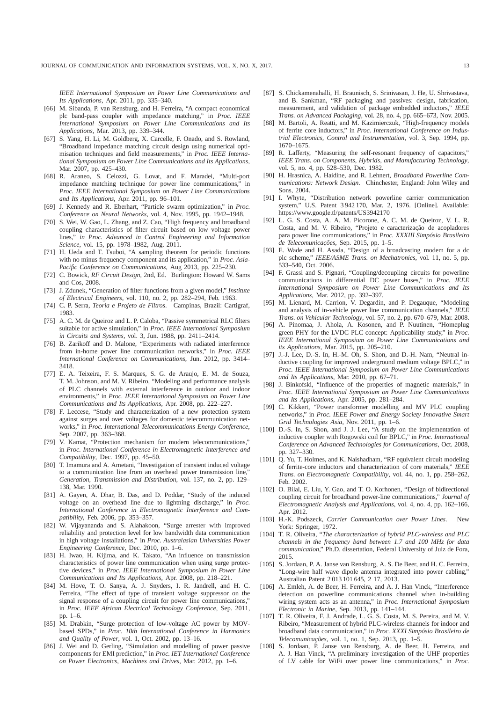*IEEE International Symposium on Power Line Communications and Its Applications*, Apr. 2011, pp. 335–340.

- [66] M. Sibanda, P. van Rensburg, and H. Ferreira, "A compact economical plc band-pass coupler with impedance matching," in *Proc. IEEE International Symposium on Power Line Communications and Its Applications*, Mar. 2013, pp. 339–344.
- [67] S. Yang, H. Li, M. Goldberg, X. Carcelle, F. Onado, and S. Rowland, "Broadband impedance matching circuit design using numerical optimisation techniques and field measurements," in *Proc. IEEE International Symposium on Power Line Communications and Its Applications*, Mar. 2007, pp. 425–430.
- [68] R. Araneo, S. Celozzi, G. Lovat, and F. Maradei, "Multi-port impedance matching technique for power line communications," in *Proc. IEEE International Symposium on Power Line Communications and Its Applications*, Apr. 2011, pp. 96–101.
- [69] J. Kennedy and R. Eberhart, "Particle swarm optimization," in *Proc. Conference on Neural Networks*, vol. 4, Nov. 1995, pp. 1942–1948.
- [70] S. Wei, W. Gao, L. Zhang, and Z. Cao, "High frequency and broadband coupling characteristics of filter circuit based on low voltage power lines," *in Proc. Advanced in Control Engineering and Information Science*, vol. 15, pp. 1978–1982, Aug. 2011.
- [71] H. Ueda and T. Tsuboi, "A sampling theorem for periodic functions with no minus frequency component and its application," in *Proc. Asia-Pacific Conference on Communications*, Aug 2013, pp. 225–230.
- [72] C. Bowick, *RF Circuit Design*, 2nd, Ed. Burlington: Howard W. Sams and Cos, 2008.
- [73] J. Zdunek, "Generation of filter functions from a given model," *Institute of Electrical Engineers*, vol. 110, no. 2, pp. 282–294, Feb. 1963.
- [74] C. P. Serra, *Teoria e Projeto de Filtros*. Campinas, Brazil: Cartigraf, 1983.
- [75] A. C. M. de Queiroz and L. P. Caloba, "Passive symmetrical RLC filters suitable for active simulation," in *Proc. IEEE International Symposium in Circuits and Systems*, vol. 3, Jun. 1988, pp. 2411–2414.
- [76] B. Zarikoff and D. Malone, "Experiments with radiated interference from in-home power line communication networks," in *Proc. IEEE International Conference on Communications*, Jun. 2012, pp. 3414– 3418.
- [77] E. A. Teixeira, F. S. Marques, S. G. de Araujo, E. M. de Souza, T. M. Johnson, and M. V. Ribeiro, "Modeling and performance analysis of PLC channels with external interference in outdoor and indoor environments," in *Proc. IEEE International Symposium on Power Line Communications and Its Applications*, Apr. 2008, pp. 222–227.
- [78] F. Leccese, "Study and characterization of a new protection system against surges and over voltages for domestic telecommunication networks," in *Proc. International Telecommunications Energy Conference*, Sep. 2007, pp. 363–368.
- [79] V. Kamat, "Protection mechanism for modern telecommunications," in *Proc. International Conference in Electromagnetic Interference and Compatibility*, Dec. 1997, pp. 45–50.
- [80] T. Imamura and A. Ametani, "Investigation of transient induced voltage to a communication line from an overhead power transmission line. *Generation, Transmission and Distribution*, vol. 137, no. 2, pp. 129– 138, Mar. 1990.
- [81] A. Gayen, A. Dhar, B. Das, and D. Poddar, "Study of the induced voltage on an overhead line due to lightning discharge," in *Proc. International Conference in Electromagnetic Interference and Compatibility*, Feb. 2006, pp. 353–357.
- [82] W. Vijayananda and S. Alahakoon, "Surge arrester with improved reliability and protection level for low bandwidth data communication in high voltage installations," in *Proc. Australasian Universities Power Engineering Conference*, Dec. 2010, pp. 1–6.
- [83] H. Iwao, H. Kijima, and K. Takato, "An influence on transmission characteristics of power line communication when using surge protective devices," in *Proc. IEEE International Symposium in Power Line Communications and Its Applications*, Apr. 2008, pp. 218–221.
- [84] M. Hove, T. O. Sanya, A. J. Snyders, I. R. Jandrell, and H. C. Ferreira, "The effect of type of transient voltage suppressor on the signal response of a coupling circuit for power line communications,' in *Proc. IEEE African Electrical Technology Conference*, Sep. 2011, pp. 1–6.
- [85] M. Drabkin, "Surge protection of low-voltage AC power by MOVbased SPDs," in *Proc. 10th International Conference in Harmonics and Quality of Power*, vol. 1, Oct. 2002, pp. 13–16.
- [86] J. Wei and D. Gerling, "Simulation and modelling of power passive components for EMI prediction," in *Proc. IET International Conference on Power Electronics, Machines and Drives*, Mar. 2012, pp. 1–6.
- [87] S. Chickamenahalli, H. Braunisch, S. Srinivasan, J. He, U. Shrivastava, and B. Sankman, "RF packaging and passives: design, fabrication, measurement, and validation of package embedded inductors," *IEEE Trans. on Advanced Packaging*, vol. 28, no. 4, pp. 665–673, Nov. 2005.
- [88] M. Bartoli, A. Reatti, and M. Kazimierczuk, "High-frequency models of ferrite core inductors," in *Proc. International Conference on Industrial Electronics, Control and Instrumentation*, vol. 3, Sep. 1994, pp. 1670–1675.
- [89] R. Lafferty, "Measuring the self-resonant frequency of capacitors," *IEEE Trans. on Components, Hybrids, and Manufacturing Technology*, vol. 5, no. 4, pp. 528–530, Dec. 1982.
- [90] H. Hrasnica, A. Haidine, and R. Lehnert, *Broadband Powerline Communications: Network Design*. Chinchester, England: John Wiley and Sons, 2004.
- [91] I. Whyte, "Distribution network powerline carrier communication system," U.S. Patent 3 942 170, Mar. 2, 1976. [Online]. Available: https://www.google.tl/patents/US3942170
- [92] L. G. S. Costa, A. A. M. Picorone, A. C. M. de Queiroz, V. L. R. Costa, and M. V. Ribeiro, "Projeto e caracterização de acopladores para power line communications," in *Proc. XXXIII Simpósio Brasileiro de Telecomunicações*, Sep. 2015, pp. 1–5.
- [93] E. Wade and H. Asada, "Design of a broadcasting modem for a dc plc scheme," *IEEE/ASME Trans. on Mechatronics*, vol. 11, no. 5, pp. 533–540, Oct. 2006.
- [94] F. Grassi and S. Pignari, "Coupling/decoupling circuits for powerline communications in differential DC power buses," in *Proc. IEEE International Symposium on Power Line Communications and Its Applications*, Mar. 2012, pp. 392–397.
- [95] M. Lienard, M. Carrion, V. Degardin, and P. Degauque, "Modeling and analysis of in-vehicle power line communication channels," *IEEE Trans. on Vehicular Technology*, vol. 57, no. 2, pp. 670–679, Mar. 2008.
- [96] A. Pinomaa, J. Ahola, A. Kosonen, and P. Nuutinen, "Homeplug green PHY for the LVDC PLC concept: Applicability study," in *Proc. IEEE International Symposium on Power Line Communications and its Applications*, Mar. 2015, pp. 205–210.
- [97] J.-J. Lee, D.-S. In, H.-M. Oh, S. Shon, and D.-H. Nam, "Neutral inductive coupling for improved underground medium voltage BPLC," in *Proc. IEEE International Symposium on Power Line Communications and Its Applications*, Mar. 2010, pp. 67–71.
- [98] J. Binkofski, "Influence of the properties of magnetic materials," in *Proc. IEEE International Symposium on Power Line Communications and Its Applications*, Apr. 2005, pp. 281–284.
- [99] C. Kikkert, "Power transformer modelling and MV PLC coupling networks," in *Proc. IEEE Power and Energy Society Innovative Smart Grid Technologies Asia*, Nov. 2011, pp. 1–6.
- [100] D.-S. In, S. Shon, and J. J. Lee, "A study on the implementation of inductive coupler with Rogowski coil for BPLC," in *Proc. International Conference on Advanced Technologies for Communications*, Oct. 2008, pp. 327–330.
- [101] Q. Yu, T. Holmes, and K. Naishadham, "RF equivalent circuit modeling of ferrite-core inductors and characterization of core materials," *IEEE Trans. on Electromagnetic Compatibility*, vol. 44, no. 1, pp. 258–262, Feb. 2002.
- [102] O. Bilal, E. Liu, Y. Gao, and T. O. Korhonen, "Design of bidirectional coupling circuit for broadband power-line communications," *Journal of Electromagnetic Analysis and Applications*, vol. 4, no. 4, pp. 162–166, Apr. 2012.
- [103] H.-K. Podszeck, *Carrier Communication over Power Lines*. New York: Springer, 1972.
- [104] T. R. Oliveira, "*The characterization of hybrid PLC-wireless and PLC channels in the frequency band between 1.7 and 100 MHz for data communication*," Ph.D. dissertation, Federal University of Juiz de Fora, 2015.
- [105] S. Jordaan, P. A. Janse van Rensburg, A. S. De Beer, and H. C. Ferreira, "Long-wire half wave dipole antenna integrated into power cabling," Australian Patent 2 013 101 645, 2 17, 2013.
- [106] A. Emleh, A. de Beer, H. Ferreira, and A. J. Han Vinck, "Interference detection on powerline communications channel when in-building wiring system acts as an antenna," in *Proc. International Symposium Electronic in Marine*, Sep. 2013, pp. 141–144.
- [107] T. R. Oliveira, F. J. Andrade, L. G. S. Costa, M. S. Pereira, and M. V. Ribeiro, "Measurement of hybrid PLC-wireless channels for indoor and broadband data communication," in *Proc. XXXI Simpósio Brasileiro de Telecomunicações*, vol. 1, no. 1, Sep. 2013, pp. 1–5.
- [108] S. Jordaan, P. Janse van Rensburg, A. de Beer, H. Ferreira, and A. J. Han Vinck, "A preliminary investigation of the UHF properties of LV cable for WiFi over power line communications," in *Proc.*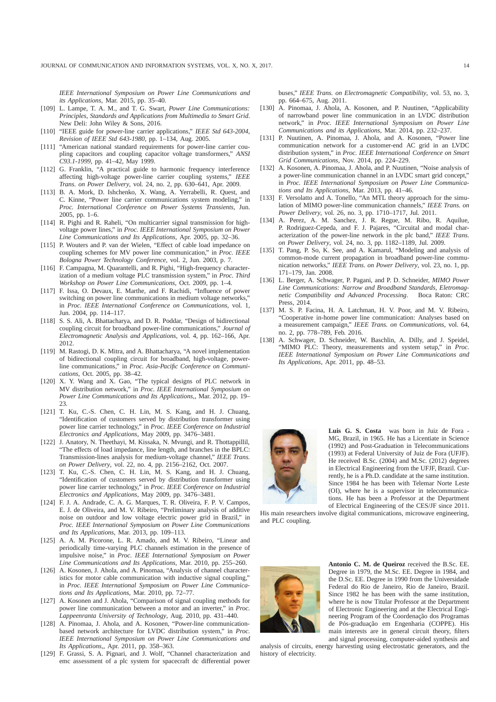*IEEE International Symposium on Power Line Communications and its Applications*, Mar. 2015, pp. 35–40.

- [109] L. Lampe, T. A. M., and T. G. Swart, *Power Line Communications: Principles, Standards and Applications from Multimedia to Smart Grid*. New Deli: John Wiley & Sons, 2016.
- [110] "IEEE guide for power-line carrier applications," *IEEE Std 643-2004, Revision of IEEE Std 643-1980*, pp. 1–134, Aug. 2005.
- [111] "American national standard requirements for power-line carrier coupling capacitors and coupling capacitor voltage transformers," *ANSI C93.1-1999*, pp. 41–42, May 1999.
- [112] G. Franklin, "A practical guide to harmonic frequency interference affecting high-voltage power-line carrier coupling systems," *IEEE Trans. on Power Delivery*, vol. 24, no. 2, pp. 630–641, Apr. 2009.
- [113] B. A. Mork, D. Ishchenko, X. Wang, A. Yerrabelli, R. Quest, and C. Kinne, "Power line carrier communications system modeling," in *Proc. International Conference on Power Systems Transients*, Jun. 2005, pp. 1–6.
- [114] R. Pighi and R. Raheli, "On multicarrier signal transmission for highvoltage power lines," in *Proc. IEEE International Symposium on Power Line Communications and Its Applications*, Apr. 2005, pp. 32–36.
- [115] P. Wouters and P. van der Wielen, "Effect of cable load impedance on coupling schemes for MV power line communication," in *Proc. IEEE Bologna Power Technology Conference*, vol. 2, Jun. 2003, p. 7.
- [116] F. Campagna, M. Quarantelli, and R. Pighi, "High-frequency characterization of a medium voltage PLC transmission system," in *Proc. Third Workshop on Power Line Communications*, Oct. 2009, pp. 1–4.
- [117] F. Issa, O. Devaux, E. Marthe, and F. Rachidi, "Influence of power switching on power line communications in medium voltage networks," in *Proc. IEEE International Conference on Communications*, vol. 1, Jun. 2004, pp. 114–117.
- [118] S. S. Ali, A. Bhattacharya, and D. R. Poddar, "Design of bidirectional coupling circuit for broadband power-line communications," *Journal of Electromagnetic Analysis and Applications*, vol. 4, pp. 162–166, Apr. 2012.
- [119] M. Rastogi, D. K. Mitra, and A. Bhattacharya, "A novel implementation of bidirectional coupling circuit for broadband, high-voltage, powerline communications," in *Proc. Asia-Pacific Conference on Communications*, Oct. 2005, pp. 38–42.
- [120] X. Y. Wang and X. Gao, "The typical designs of PLC network in MV distribution network," in *Proc. IEEE International Symposium on Power Line Communications and Its Applications,*, Mar. 2012, pp. 19– 23.
- [121] T. Ku, C.-S. Chen, C. H. Lin, M. S. Kang, and H. J. Chuang, "Identification of customers served by distribution transformer using power line carrier technology," in *Proc. IEEE Conference on Industrial Electronics and Applications*, May 2009, pp. 3476–3481.
- [122] J. Anatory, N. Theethayi, M. Kissaka, N. Mvungi, and R. Thottappillil, "The effects of load impedance, line length, and branches in the BPLC: Transmission-lines analysis for medium-voltage channel," *IEEE Trans. on Power Delivery*, vol. 22, no. 4, pp. 2156–2162, Oct. 2007.
- [123] T. Ku, C.-S. Chen, C. H. Lin, M. S. Kang, and H. J. Chuang, "Identification of customers served by distribution transformer using power line carrier technology," in *Proc. IEEE Conference on Industrial Electronics and Applications*, May 2009, pp. 3476–3481.
- [124] F. J. A. Andrade, C. A. G. Marques, T. R. Oliveira, F. P. V. Campos, E. J. de Oliveira, and M. V. Ribeiro, "Preliminary analysis of additive noise on outdoor and low voltage electric power grid in Brazil," in *Proc. IEEE International Symposium on Power Line Communications and Its Applications*, Mar. 2013, pp. 109–113.
- [125] A. A. M. Picorone, L. R. Amado, and M. V. Ribeiro, "Linear and periodically time-varying PLC channels estimation in the presence of impulsive noise," in *Proc. IEEE International Symposium on Power Line Communications and Its Applications*, Mar. 2010, pp. 255–260.
- [126] A. Kosonen, J. Ahola, and A. Pinomaa, "Analysis of channel characteristics for motor cable communication with inductive signal coupling," in *Proc. IEEE International Symposium on Power Line Communications and Its Applications*, Mar. 2010, pp. 72–77.
- [127] A. Kosonen and J. Ahola, "Comparison of signal coupling methods for power line communication between a motor and an inverter," in *Proc. Lappeenranta University of Technology*, Aug. 2010, pp. 431–440.
- [128] A. Pinomaa, J. Ahola, and A. Kosonen, "Power-line communicationbased network architecture for LVDC distribution system," in *Proc. IEEE International Symposium on Power Line Communications and Its Applications,*, Apr. 2011, pp. 358–363.
- [129] F. Grassi, S. A. Pignari, and J. Wolf, "Channel characterization and emc assessment of a plc system for spacecraft dc differential power

buses," *IEEE Trans. on Electromagnetic Compatibility*, vol. 53, no. 3, pp. 664–675, Aug. 2011.

- [130] A. Pinomaa, J. Ahola, A. Kosonen, and P. Nuutinen, "Applicability of narrowband power line communication in an LVDC distribution network," in *Proc. IEEE International Symposium on Power Line Communications and its Applications*, Mar. 2014, pp. 232–237.
- [131] P. Nuutinen, A. Pinomaa, J. Ahola, and A. Kosonen, "Power line communication network for a customer-end AC grid in an LVDC distribution system," in *Proc. IEEE International Conference on Smart Grid Communications*, Nov. 2014, pp. 224–229.
- [132] A. Kosonen, A. Pinomaa, J. Ahola, and P. Nuutinen, "Noise analysis of a power-line communication channel in an LVDC smart grid concept," in *Proc. IEEE International Symposium on Power Line Communications and Its Applications*, Mar. 2013, pp. 41–46.
- [133] F. Versolatto and A. Tonello, "An MTL theory approach for the simulation of MIMO power-line communication channels," *IEEE Trans. on Power Delivery*, vol. 26, no. 3, pp. 1710–1717, Jul. 2011.
- [134] A. Perez, A. M. Sanchez, J. R. Regue, M. Ribo, R. Aquilue, P. Rodriguez-Cepeda, and F. J. Pajares, "Circuital and modal characterization of the power-line network in the plc band," *IEEE Trans. on Power Delivery*, vol. 24, no. 3, pp. 1182–1189, Jul. 2009.
- [135] T. Pang, P. So, K. See, and A. Kamarul, "Modeling and analysis of common-mode current propagation in broadband power-line communication networks," *IEEE Trans. on Power Delivery*, vol. 23, no. 1, pp. 171–179, Jan. 2008.
- [136] L. Berger, A. Schwager, P. Pagani, and P. D. Schneider, *MIMO Power Line Communications: Narrow and Broadband Standards, Eletromagnetic Compatibility and Advanced Processing.* Press, 2014.
- [137] M. S. P. Facina, H. A. Latchman, H. V. Poor, and M. V. Ribeiro, "Cooperative in-home power line communication: Analyses based on a measurement campaign," *IEEE Trans. on Communications*, vol. 64, no. 2, pp. 778–789, Feb. 2016.
- [138] A. Schwager, D. Schneider, W. Baschlin, A. Dilly, and J. Speidel, "MIMO PLC: Theory, measurements and system setup," in *Proc. IEEE International Symposium on Power Line Communications and Its Applications*, Apr. 2011, pp. 48–53.



**Luis G. S. Costa** was born in Juiz de Fora - MG, Brazil, in 1965. He has a Licentiate in Science (1992) and Post-Graduation in Telecommunications (1993) at Federal University of Juiz de Fora (UFJF). He received B.Sc. (2004) and M.Sc. (2012) degrees in Electrical Engineering from the UFJF, Brazil. Currently, he is a Ph.D. candidate at the same institution. Since 1984 he has been with Telemar Norte Leste (OI), where he is a supervisor in telecommunications. He has been a Professor at the Department of Electrical Engineering of the CES/JF since 2011.

His main researchers involve digital communications, microwave engineering, and PLC coupling.



**Antonio C. M. de Queiroz** received the B.Sc. EE. Degree in 1979, the M.Sc. EE. Degree in 1984, and the D.Sc. EE. Degree in 1990 from the Universidade Federal do Rio de Janeiro, Rio de Janeiro, Brazil. Since 1982 he has been with the same institution, where he is now Titular Professor at the Department of Electronic Engineering and at the Electrical Engineering Program of the Coordenação dos Programas de Pós-graduação em Engenharia (COPPE). His main interests are in general circuit theory, filters and signal processing, computer-aided synthesis and

analysis of circuits, energy harvesting using electrostatic generators, and the history of electricity.